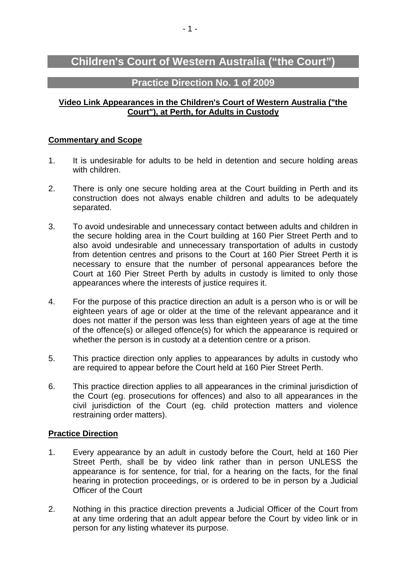# **Children's Court of Western Australia ("the Court")**

# **Practice Direction No. 1 of 2009**

## **Video Link Appearances in the Children's Court of Western Australia ("the Court"), at Perth, for Adults in Custody**

## **Commentary and Scope**

- 1. It is undesirable for adults to be held in detention and secure holding areas with children.
- 2. There is only one secure holding area at the Court building in Perth and its construction does not always enable children and adults to be adequately separated.
- 3. To avoid undesirable and unnecessary contact between adults and children in the secure holding area in the Court building at 160 Pier Street Perth and to also avoid undesirable and unnecessary transportation of adults in custody from detention centres and prisons to the Court at 160 Pier Street Perth it is necessary to ensure that the number of personal appearances before the Court at 160 Pier Street Perth by adults in custody is limited to only those appearances where the interests of justice requires it.
- 4. For the purpose of this practice direction an adult is a person who is or will be eighteen years of age or older at the time of the relevant appearance and it does not matter if the person was less than eighteen years of age at the time of the offence(s) or alleged offence(s) for which the appearance is required or whether the person is in custody at a detention centre or a prison.
- 5. This practice direction only applies to appearances by adults in custody who are required to appear before the Court held at 160 Pier Street Perth.
- 6. This practice direction applies to all appearances in the criminal jurisdiction of the Court (eg. prosecutions for offences) and also to all appearances in the civil jurisdiction of the Court (eg. child protection matters and violence restraining order matters).

#### **Practice Direction**

- 1. Every appearance by an adult in custody before the Court, held at 160 Pier Street Perth, shall be by video link rather than in person UNLESS the appearance is for sentence, for trial, for a hearing on the facts, for the final hearing in protection proceedings, or is ordered to be in person by a Judicial Officer of the Court
- 2. Nothing in this practice direction prevents a Judicial Officer of the Court from at any time ordering that an adult appear before the Court by video link or in person for any listing whatever its purpose.